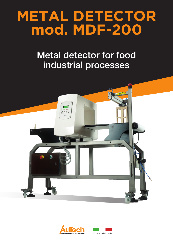# **METAL DETECTOR mod. MDF-200**

## Metal detector for food industrial processes